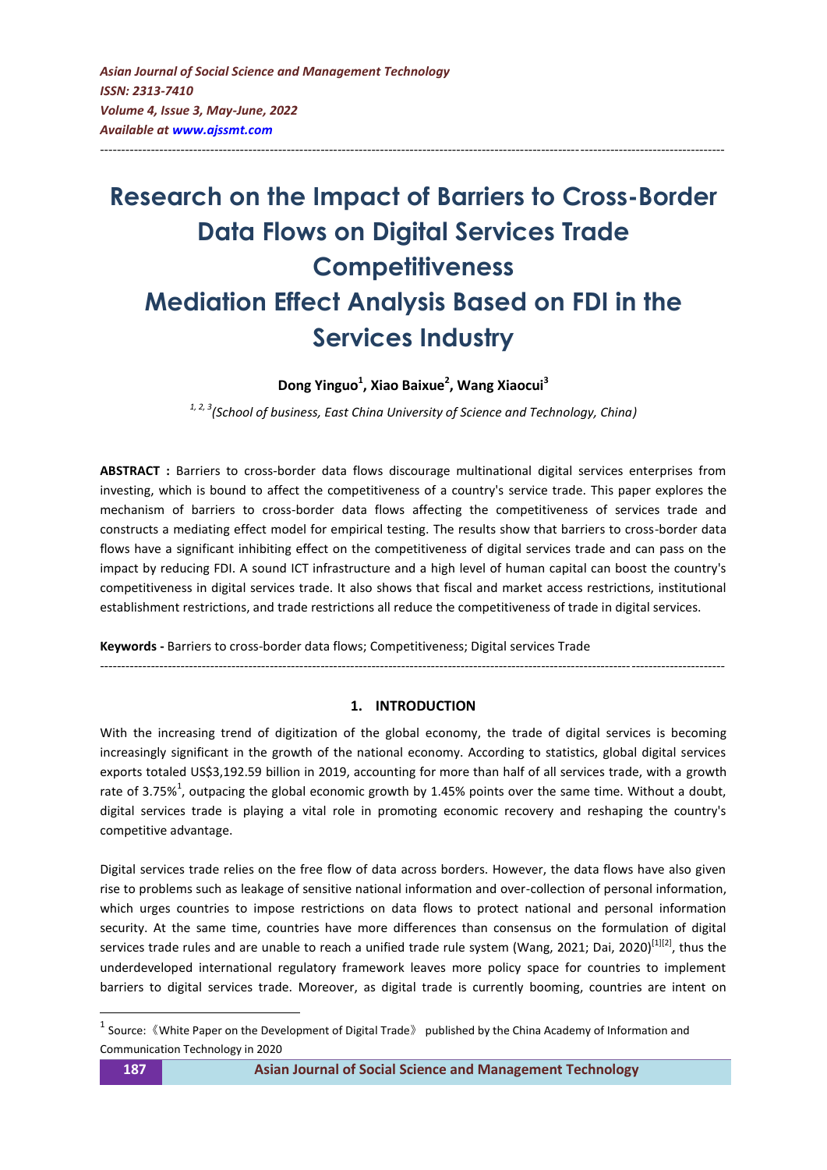# **Research on the Impact of Barriers to Cross-Border Data Flows on Digital Services Trade Competitiveness Mediation Effect Analysis Based on FDI in the Services Industry**

---------------------------------------------------------------------------------------------------------------------------------------------------

**Dong Yinguo<sup>1</sup> , Xiao Baixue<sup>2</sup> , Wang Xiaocui<sup>3</sup>**

*1, 2, 3(School of business, East China University of Science and Technology, China)* 

**ABSTRACT :** Barriers to cross-border data flows discourage multinational digital services enterprises from investing, which is bound to affect the competitiveness of a country's service trade. This paper explores the mechanism of barriers to cross-border data flows affecting the competitiveness of services trade and constructs a mediating effect model for empirical testing. The results show that barriers to cross-border data flows have a significant inhibiting effect on the competitiveness of digital services trade and can pass on the impact by reducing FDI. A sound ICT infrastructure and a high level of human capital can boost the country's competitiveness in digital services trade. It also shows that fiscal and market access restrictions, institutional establishment restrictions, and trade restrictions all reduce the competitiveness of trade in digital services.

**Keywords -** Barriers to cross-border data flows; Competitiveness; Digital services Trade

*---------------------------------------------------------------------------------------------------------------------------------------------------*

# **1. INTRODUCTION**

With the increasing trend of digitization of the global economy, the trade of digital services is becoming increasingly significant in the growth of the national economy. According to statistics, global digital services exports totaled US\$3,192.59 billion in 2019, accounting for more than half of all services trade, with a growth rate of 3.75%<sup>1</sup>, outpacing the global economic growth by 1.45% points over the same time. Without a doubt, digital services trade is playing a vital role in promoting economic recovery and reshaping the country's competitive advantage.

Digital services trade relies on the free flow of data across borders. However, the data flows have also given rise to problems such as leakage of sensitive national information and over-collection of personal information, which urges countries to impose restrictions on data flows to protect national and personal information security. At the same time, countries have more differences than consensus on the formulation of digital services trade rules and are unable to reach a unified trade rule system (Wang, 2021; Dai, 2020)<sup>[\[1\]\[2\]](#page-8-0)</sup>, thus the underdeveloped international regulatory framework leaves more policy space for countries to implement barriers to digital services trade. Moreover, as digital trade is currently booming, countries are intent on

1

<sup>&</sup>lt;sup>1</sup> Source: 《White Paper on the Development of Digital Trade》 published by the China Academy of Information and Communication Technology in 2020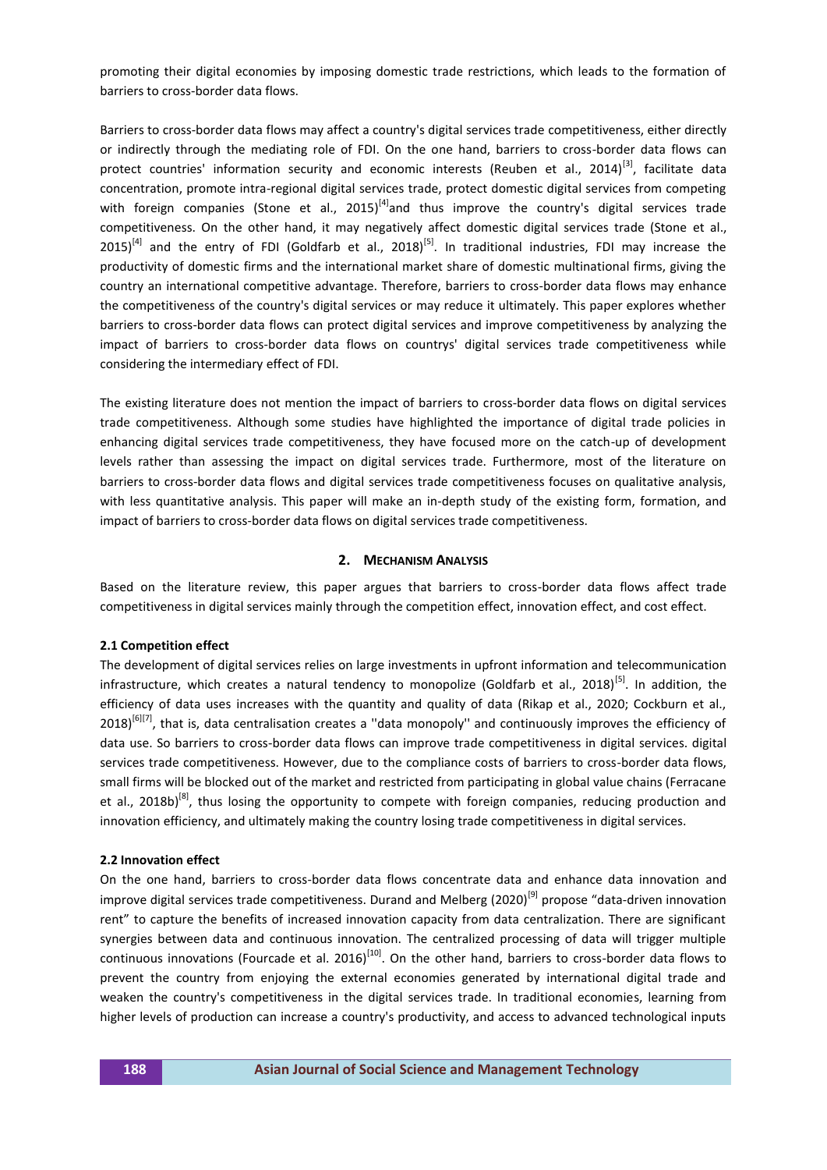promoting their digital economies by imposing domestic trade restrictions, which leads to the formation of barriers to cross-border data flows.

Barriers to cross-border data flows may affect a country's digital services trade competitiveness, either directly or indirectly through the mediating role of FDI. On the one hand, barriers to cross-border data flows can protect countries' information security and economic interests (Reuben et al., 2014)<sup>[\[3\]](#page-8-1)</sup>, facilitate data concentration, promote intra-regional digital services trade, protect domestic digital services from competing with foreign companies (Stone et al., 2015)<sup>[\[4\]](#page-8-2)</sup>and thus improve the country's digital services trade competitiveness. On the other hand, it may negatively affect domestic digital services trade (Stone et al.,  $2015$ <sup>[\[4\]](#page-8-2)</sup> and the entry of FDI (Goldfarb et al., 2018)<sup>[\[5\]](#page-8-3)</sup>. In traditional industries, FDI may increase the productivity of domestic firms and the international market share of domestic multinational firms, giving the country an international competitive advantage. Therefore, barriers to cross-border data flows may enhance the competitiveness of the country's digital services or may reduce it ultimately. This paper explores whether barriers to cross-border data flows can protect digital services and improve competitiveness by analyzing the impact of barriers to cross-border data flows on countrys' digital services trade competitiveness while considering the intermediary effect of FDI.

The existing literature does not mention the impact of barriers to cross-border data flows on digital services trade competitiveness. Although some studies have highlighted the importance of digital trade policies in enhancing digital services trade competitiveness, they have focused more on the catch-up of development levels rather than assessing the impact on digital services trade. Furthermore, most of the literature on barriers to cross-border data flows and digital services trade competitiveness focuses on qualitative analysis, with less quantitative analysis. This paper will make an in-depth study of the existing form, formation, and impact of barriers to cross-border data flows on digital services trade competitiveness.

#### **2. MECHANISM ANALYSIS**

Based on the literature review, this paper argues that barriers to cross-border data flows affect trade competitiveness in digital services mainly through the competition effect, innovation effect, and cost effect.

#### **2.1 Competition effect**

The development of digital services relies on large investments in upfront information and telecommunication infrastructure, which creates a natural tendency to monopolize (Goldfarb et al., 2018)<sup>[\[5\]](#page-8-3)</sup>. In addition, the efficiency of data uses increases with the quantity and quality of data (Rikap et al., 2020; Cockburn et al.,  $2018$ <sup>[\[6\]\[7\]](#page-9-0)</sup>, that is, data centralisation creates a "data monopoly" and continuously improves the efficiency of data use. So barriers to cross-border data flows can improve trade competitiveness in digital services. digital services trade competitiveness. However, due to the compliance costs of barriers to cross-border data flows, small firms will be blocked out of the market and restricted from participating in global value chains (Ferracane et al., 2018b)<sup>[\[8\]](#page-9-1)</sup>, thus losing the opportunity to compete with foreign companies, reducing production and innovation efficiency, and ultimately making the country losing trade competitiveness in digital services.

#### **2.2 Innovation effect**

On the one hand, barriers to cross-border data flows concentrate data and enhance data innovation and improve digital services trade competitiveness. Durand and Melberg (2020)<sup>[\[9\]](#page-9-2)</sup> propose "data-driven innovation rent" to capture the benefits of increased innovation capacity from data centralization. There are significant synergies between data and continuous innovation. The centralized processing of data will trigger multiple continuous innovations (Fourcade et al. 2016)<sup>[\[10\]](#page-9-3)</sup>. On the other hand, barriers to cross-border data flows to prevent the country from enjoying the external economies generated by international digital trade and weaken the country's competitiveness in the digital services trade. In traditional economies, learning from higher levels of production can increase a country's productivity, and access to advanced technological inputs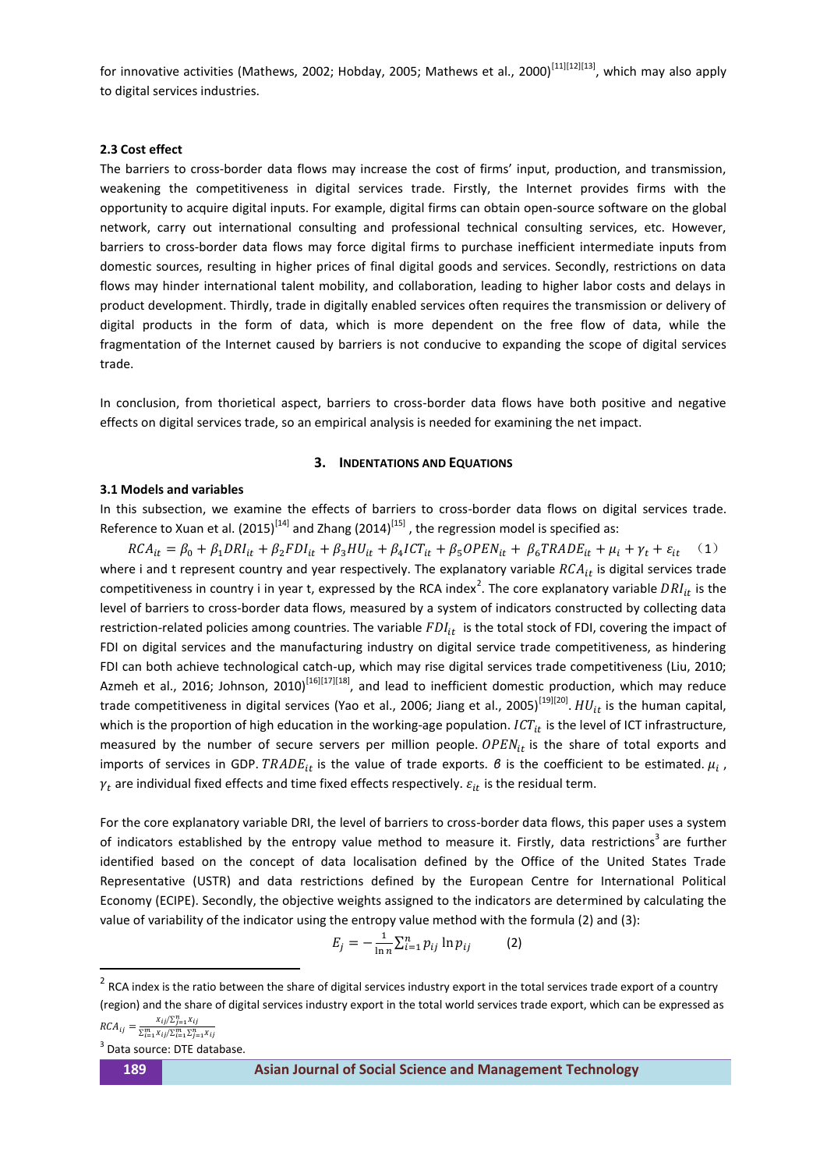for innovative activities (Mathews, 2002; Hobday, 2005; Mathews et al., 2000)<sup>[\[11\]\[12\]\[](#page-9-4)[13\]](#page-9-5)</sup>, which may also apply to digital services industries.

#### **2.3 Cost effect**

The barriers to cross-border data flows may increase the cost of firms' input, production, and transmission, weakening the competitiveness in digital services trade. Firstly, the Internet provides firms with the opportunity to acquire digital inputs. For example, digital firms can obtain open-source software on the global network, carry out international consulting and professional technical consulting services, etc. However, barriers to cross-border data flows may force digital firms to purchase inefficient intermediate inputs from domestic sources, resulting in higher prices of final digital goods and services. Secondly, restrictions on data flows may hinder international talent mobility, and collaboration, leading to higher labor costs and delays in product development. Thirdly, trade in digitally enabled services often requires the transmission or delivery of digital products in the form of data, which is more dependent on the free flow of data, while the fragmentation of the Internet caused by barriers is not conducive to expanding the scope of digital services trade.

In conclusion, from thorietical aspect, barriers to cross-border data flows have both positive and negative effects on digital services trade, so an empirical analysis is needed for examining the net impact.

#### **3. INDENTATIONS AND EQUATIONS**

## **3.1 Models and variables**

In this subsection, we examine the effects of barriers to cross-border data flows on digital services trade. Reference to Xuan et al. (2015)<sup>[\[14\]](#page-9-6)</sup> and Zhang (2014)<sup>[\[15\]](#page-9-7)</sup>, the regression model is specified as:

 $RCA_{it} = \beta_0 + \beta_1 DRI_{it} + \beta_2 FDI_{it} + \beta_3 HU_{it} + \beta_4 ICT_{it} + \beta_5 OPEN_{it} + \beta_6 TRADE_{it} + \mu_i + \gamma_t + \varepsilon_{it}$  (1) where i and t represent country and year respectively. The explanatory variable  $RCA_{it}$  is digital services trade competitiveness in country i in year t, expressed by the RCA index<sup>2</sup>. The core explanatory variable  $DRI_{it}$  is the level of barriers to cross-border data flows, measured by a system of indicators constructed by collecting data restriction-related policies among countries. The variable  $FDI_{it}$  is the total stock of FDI, covering the impact of FDI on digital services and the manufacturing industry on digital service trade competitiveness, as hindering FDI can both achieve technological catch-up, which may rise digital services trade competitiveness (Liu, 2010; Azmeh et al., 2016; Johnson, 2010)<sup>[\[16\]\[17\]\[](#page-9-8)[18\]](#page-9-9)</sup>, and lead to inefficient domestic production, which may reduce trade competitiveness in digital services (Yao et al., 2006; Jiang et al., 2005)<sup>[\[19\]\[20\]](#page-9-10)</sup>.  $HU_{it}$  is the human capital, which is the proportion of high education in the working-age population.  $ICT_{it}$  is the level of ICT infrastructure, measured by the number of secure servers per million people.  $OPEN_{it}$  is the share of total exports and imports of services in GDP.  $TRADE_{it}$  is the value of trade exports.  $B$  is the coefficient to be estimated.  $\mu_i$ ,  $\gamma_t$  are individual fixed effects and time fixed effects respectively.  $\varepsilon_{it}$  is the residual term.

For the core explanatory variable DRI, the level of barriers to cross-border data flows, this paper uses a system of indicators established by the entropy value method to measure it. Firstly, data restrictions<sup>3</sup> are further identified based on the concept of data localisation defined by the Office of the United States Trade Representative (USTR) and data restrictions defined by the European Centre for International Political Economy (ECIPE). Secondly, the objective weights assigned to the indicators are determined by calculating the value of variability of the indicator using the entropy value method with the formula (2) and (3):

$$
E_j = -\frac{1}{\ln n} \sum_{i=1}^n p_{ij} \ln p_{ij}
$$
 (2)

**.** 

 $2$  RCA index is the ratio between the share of digital services industry export in the total services trade export of a country (region) and the share of digital services industry export in the total world services trade export, which can be expressed as  $RCA_{ij} = \frac{X_{ij}/\sum_{j=1}^{n} X_j}{\sum_{i=1}^{m} X_i/\sum_{j=1}^{m} X_j}$  $\sum_{i=1}^m x_{ij}/\sum_{i=1}^m \sum_{j=1}^n x_j$ 

<sup>3</sup> Data source: DTE database.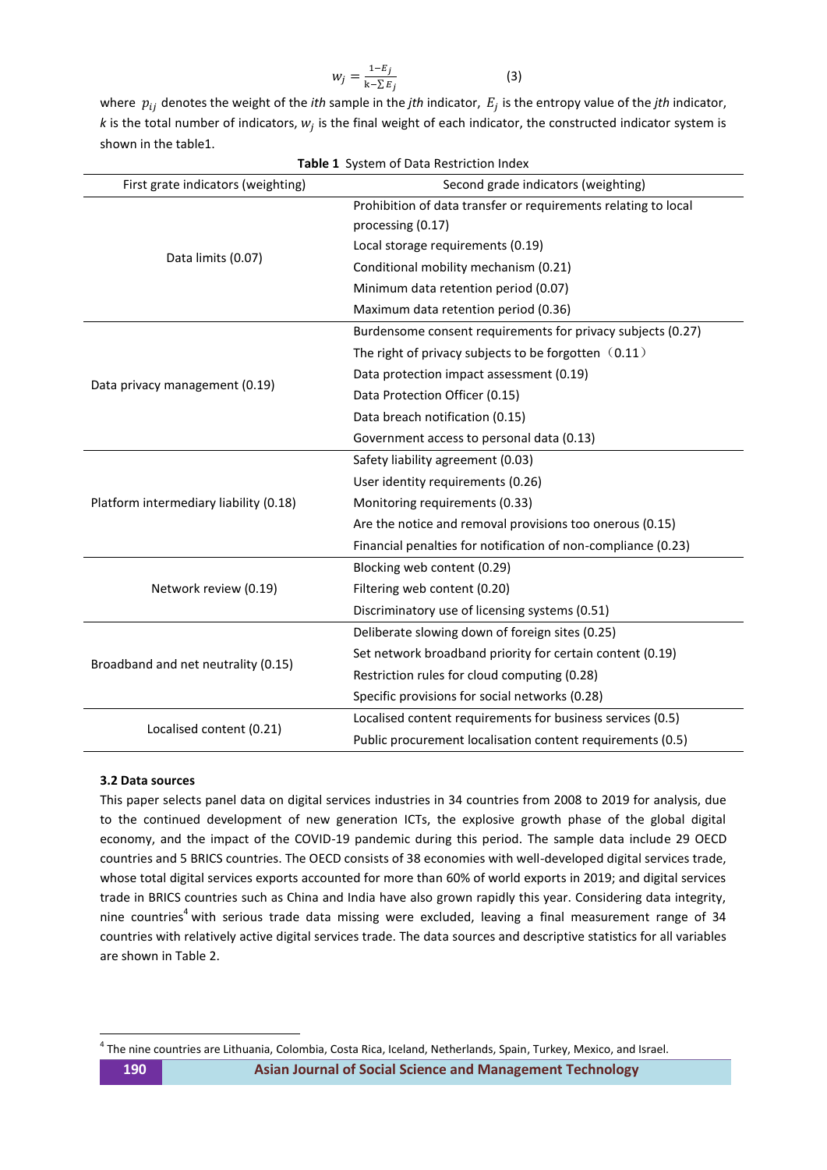$$
w_j = \frac{1 - E_j}{k - \sum E_j} \tag{3}
$$

where  $p_{ij}$  denotes the weight of the *ith* sample in the *jth* indicator,  $E_j$  is the entropy value of the *jth* indicator, k is the total number of indicators,  $w_j$  is the final weight of each indicator, the constructed indicator system is shown in the table1.

| <b>Table 1</b> System of Data Restriction Index                           |                                                                |  |  |  |  |
|---------------------------------------------------------------------------|----------------------------------------------------------------|--|--|--|--|
| First grate indicators (weighting)<br>Second grade indicators (weighting) |                                                                |  |  |  |  |
|                                                                           | Prohibition of data transfer or requirements relating to local |  |  |  |  |
|                                                                           | processing (0.17)                                              |  |  |  |  |
|                                                                           | Local storage requirements (0.19)                              |  |  |  |  |
| Data limits (0.07)                                                        | Conditional mobility mechanism (0.21)                          |  |  |  |  |
|                                                                           | Minimum data retention period (0.07)                           |  |  |  |  |
|                                                                           | Maximum data retention period (0.36)                           |  |  |  |  |
|                                                                           | Burdensome consent requirements for privacy subjects (0.27)    |  |  |  |  |
|                                                                           | The right of privacy subjects to be forgotten (0.11)           |  |  |  |  |
|                                                                           | Data protection impact assessment (0.19)                       |  |  |  |  |
| Data privacy management (0.19)                                            | Data Protection Officer (0.15)                                 |  |  |  |  |
|                                                                           | Data breach notification (0.15)                                |  |  |  |  |
|                                                                           | Government access to personal data (0.13)                      |  |  |  |  |
|                                                                           | Safety liability agreement (0.03)                              |  |  |  |  |
|                                                                           | User identity requirements (0.26)                              |  |  |  |  |
| Platform intermediary liability (0.18)                                    | Monitoring requirements (0.33)                                 |  |  |  |  |
|                                                                           | Are the notice and removal provisions too onerous (0.15)       |  |  |  |  |
|                                                                           | Financial penalties for notification of non-compliance (0.23)  |  |  |  |  |
|                                                                           | Blocking web content (0.29)                                    |  |  |  |  |
| Network review (0.19)                                                     | Filtering web content (0.20)                                   |  |  |  |  |
|                                                                           | Discriminatory use of licensing systems (0.51)                 |  |  |  |  |
|                                                                           | Deliberate slowing down of foreign sites (0.25)                |  |  |  |  |
|                                                                           | Set network broadband priority for certain content (0.19)      |  |  |  |  |
| Broadband and net neutrality (0.15)                                       | Restriction rules for cloud computing (0.28)                   |  |  |  |  |
|                                                                           | Specific provisions for social networks (0.28)                 |  |  |  |  |
|                                                                           | Localised content requirements for business services (0.5)     |  |  |  |  |
| Localised content (0.21)                                                  | Public procurement localisation content requirements (0.5)     |  |  |  |  |

## **3.2 Data sources**

This paper selects panel data on digital services industries in 34 countries from 2008 to 2019 for analysis, due to the continued development of new generation ICTs, the explosive growth phase of the global digital economy, and the impact of the COVID-19 pandemic during this period. The sample data include 29 OECD countries and 5 BRICS countries. The OECD consists of 38 economies with well-developed digital services trade, whose total digital services exports accounted for more than 60% of world exports in 2019; and digital services trade in BRICS countries such as China and India have also grown rapidly this year. Considering data integrity, nine countries<sup>4</sup> with serious trade data missing were excluded, leaving a final measurement range of 34 countries with relatively active digital services trade. The data sources and descriptive statistics for all variables are shown in Table 2.

-

<sup>&</sup>lt;sup>4</sup> The nine countries are Lithuania, Colombia, Costa Rica, Iceland, Netherlands, Spain, Turkey, Mexico, and Israel.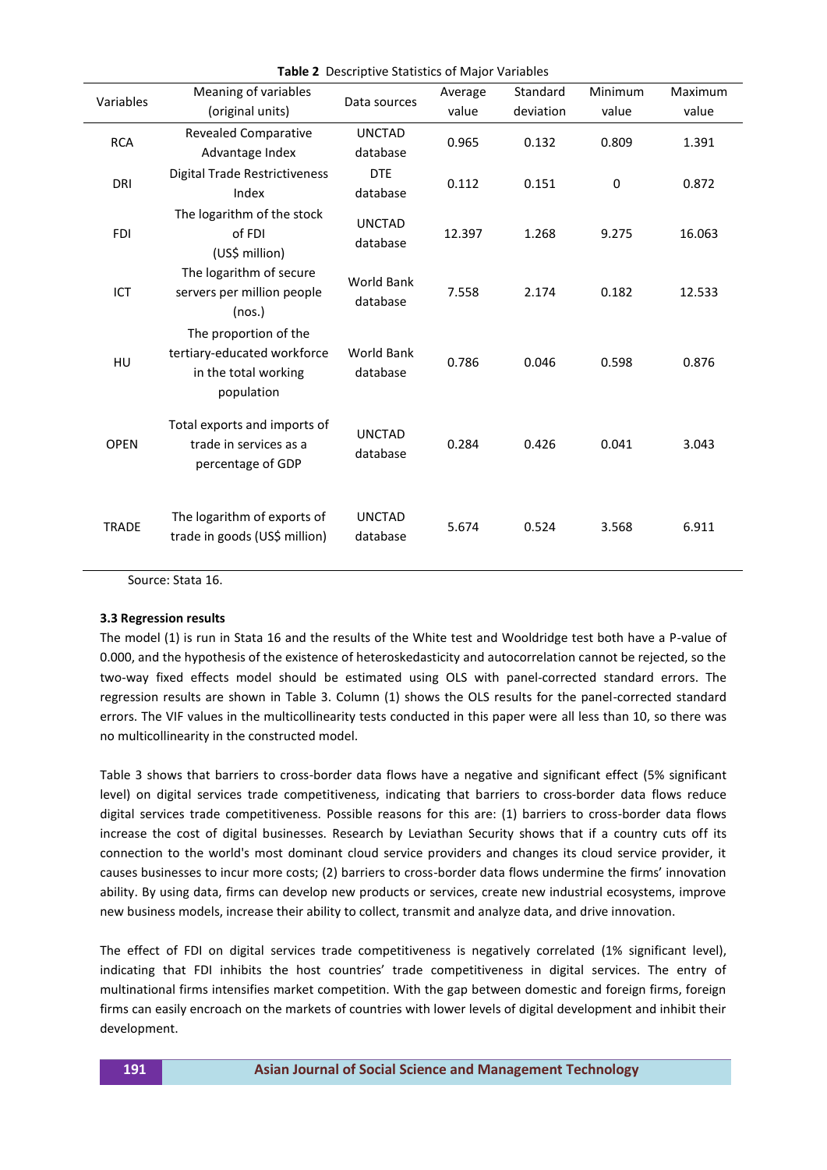|                               | Meaning of variables                                                                       |                               | Average   | Standard | <b>Minimum</b> | Maximum |
|-------------------------------|--------------------------------------------------------------------------------------------|-------------------------------|-----------|----------|----------------|---------|
| Variables<br>(original units) | Data sources                                                                               | value                         | deviation | value    | value          |         |
| <b>RCA</b>                    | <b>Revealed Comparative</b><br>Advantage Index                                             | <b>UNCTAD</b><br>database     | 0.965     | 0.132    | 0.809          | 1.391   |
| <b>DRI</b>                    | <b>Digital Trade Restrictiveness</b><br>Index                                              | <b>DTE</b><br>database        | 0.112     | 0.151    | $\mathbf 0$    | 0.872   |
| <b>FDI</b>                    | The logarithm of the stock<br>of FDI<br>(US\$ million)                                     | <b>UNCTAD</b><br>database     | 12.397    | 1.268    | 9.275          | 16.063  |
| ICT                           | The logarithm of secure<br>servers per million people<br>(nos.)                            | <b>World Bank</b><br>database | 7.558     | 2.174    | 0.182          | 12.533  |
| HU                            | The proportion of the<br>tertiary-educated workforce<br>in the total working<br>population | World Bank<br>database        | 0.786     | 0.046    | 0.598          | 0.876   |
| <b>OPEN</b>                   | Total exports and imports of<br>trade in services as a<br>percentage of GDP                | <b>UNCTAD</b><br>database     | 0.284     | 0.426    | 0.041          | 3.043   |
| <b>TRADE</b>                  | The logarithm of exports of<br>trade in goods (US\$ million)                               | <b>UNCTAD</b><br>database     | 5.674     | 0.524    | 3.568          | 6.911   |

**Table 2** Descriptive Statistics of Major Variables

Source: Stata 16.

## **3.3 Regression results**

The model (1) is run in Stata 16 and the results of the White test and Wooldridge test both have a P-value of 0.000, and the hypothesis of the existence of heteroskedasticity and autocorrelation cannot be rejected, so the two-way fixed effects model should be estimated using OLS with panel-corrected standard errors. The regression results are shown in Table 3. Column (1) shows the OLS results for the panel-corrected standard errors. The VIF values in the multicollinearity tests conducted in this paper were all less than 10, so there was no multicollinearity in the constructed model.

Table 3 shows that barriers to cross-border data flows have a negative and significant effect (5% significant level) on digital services trade competitiveness, indicating that barriers to cross-border data flows reduce digital services trade competitiveness. Possible reasons for this are: (1) barriers to cross-border data flows increase the cost of digital businesses. Research by Leviathan Security shows that if a country cuts off its connection to the world's most dominant cloud service providers and changes its cloud service provider, it causes businesses to incur more costs; (2) barriers to cross-border data flows undermine the firms' innovation ability. By using data, firms can develop new products or services, create new industrial ecosystems, improve new business models, increase their ability to collect, transmit and analyze data, and drive innovation.

The effect of FDI on digital services trade competitiveness is negatively correlated (1% significant level), indicating that FDI inhibits the host countries' trade competitiveness in digital services. The entry of multinational firms intensifies market competition. With the gap between domestic and foreign firms, foreign firms can easily encroach on the markets of countries with lower levels of digital development and inhibit their development.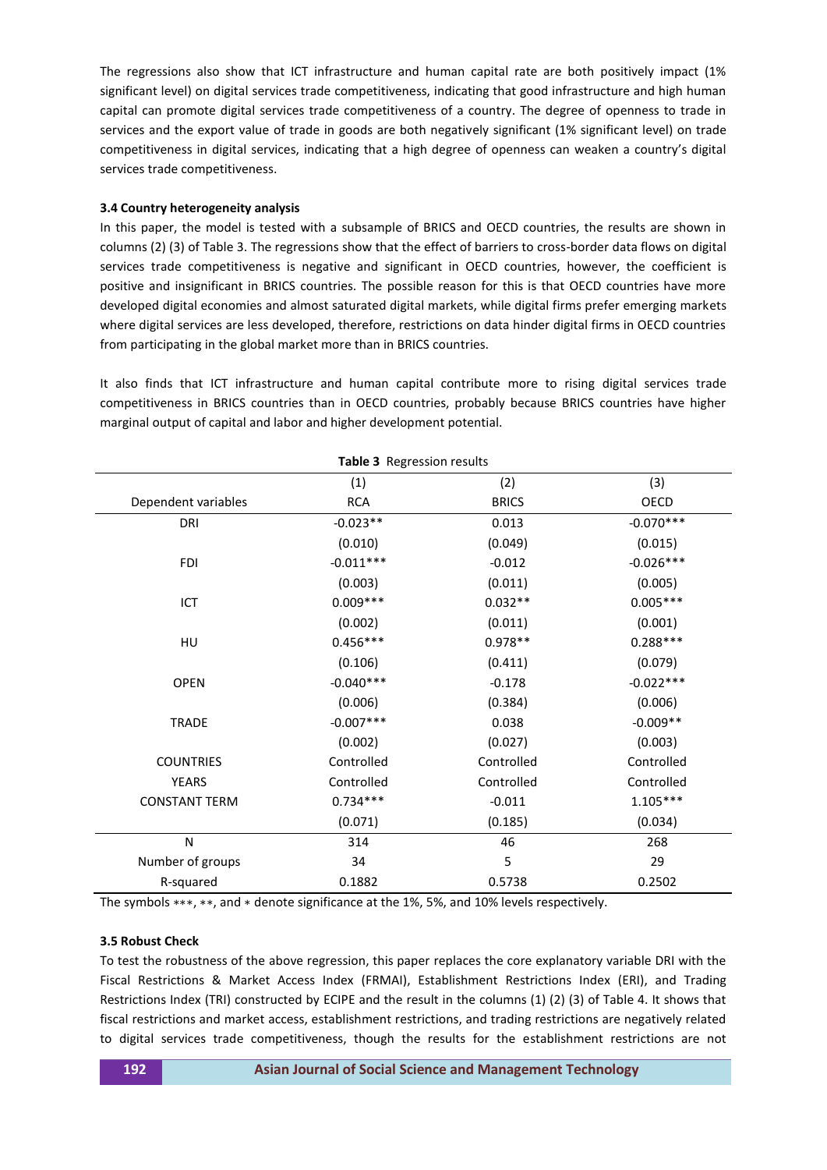The regressions also show that ICT infrastructure and human capital rate are both positively impact (1% significant level) on digital services trade competitiveness, indicating that good infrastructure and high human capital can promote digital services trade competitiveness of a country. The degree of openness to trade in services and the export value of trade in goods are both negatively significant (1% significant level) on trade competitiveness in digital services, indicating that a high degree of openness can weaken a country's digital services trade competitiveness.

## **3.4 Country heterogeneity analysis**

In this paper, the model is tested with a subsample of BRICS and OECD countries, the results are shown in columns (2) (3) of Table 3. The regressions show that the effect of barriers to cross-border data flows on digital services trade competitiveness is negative and significant in OECD countries, however, the coefficient is positive and insignificant in BRICS countries. The possible reason for this is that OECD countries have more developed digital economies and almost saturated digital markets, while digital firms prefer emerging markets where digital services are less developed, therefore, restrictions on data hinder digital firms in OECD countries from participating in the global market more than in BRICS countries.

It also finds that ICT infrastructure and human capital contribute more to rising digital services trade competitiveness in BRICS countries than in OECD countries, probably because BRICS countries have higher marginal output of capital and labor and higher development potential.

| Table 3 Regression results |             |              |             |  |  |  |  |
|----------------------------|-------------|--------------|-------------|--|--|--|--|
|                            | (1)         | (2)          | (3)         |  |  |  |  |
| Dependent variables        | <b>RCA</b>  | <b>BRICS</b> | OECD        |  |  |  |  |
| DRI                        | $-0.023**$  | 0.013        | $-0.070***$ |  |  |  |  |
|                            | (0.010)     | (0.049)      | (0.015)     |  |  |  |  |
| <b>FDI</b>                 | $-0.011***$ | $-0.012$     | $-0.026***$ |  |  |  |  |
|                            | (0.003)     | (0.011)      | (0.005)     |  |  |  |  |
| ICT                        | $0.009***$  | $0.032**$    | $0.005***$  |  |  |  |  |
|                            | (0.002)     | (0.011)      | (0.001)     |  |  |  |  |
| HU                         | $0.456***$  | $0.978**$    | $0.288***$  |  |  |  |  |
|                            | (0.106)     | (0.411)      | (0.079)     |  |  |  |  |
| <b>OPEN</b>                | $-0.040***$ | $-0.178$     | $-0.022***$ |  |  |  |  |
|                            | (0.006)     | (0.384)      | (0.006)     |  |  |  |  |
| <b>TRADE</b>               | $-0.007***$ | 0.038        | $-0.009**$  |  |  |  |  |
|                            | (0.002)     | (0.027)      | (0.003)     |  |  |  |  |
| <b>COUNTRIES</b>           | Controlled  | Controlled   | Controlled  |  |  |  |  |
| <b>YEARS</b>               | Controlled  | Controlled   | Controlled  |  |  |  |  |
| <b>CONSTANT TERM</b>       | $0.734***$  | $-0.011$     | $1.105***$  |  |  |  |  |
|                            | (0.071)     | (0.185)      | (0.034)     |  |  |  |  |
| N                          | 314         | 46           | 268         |  |  |  |  |
| Number of groups           | 34          | 5            | 29          |  |  |  |  |
| R-squared                  | 0.1882      | 0.5738       | 0.2502      |  |  |  |  |

The symbols ∗∗∗, ∗∗, and ∗ denote significance at the 1%, 5%, and 10% levels respectively.

## **3.5 Robust Check**

To test the robustness of the above regression, this paper replaces the core explanatory variable DRI with the Fiscal Restrictions & Market Access Index (FRMAI), Establishment Restrictions Index (ERI), and Trading Restrictions Index (TRI) constructed by ECIPE and the result in the columns (1) (2) (3) of Table 4. It shows that fiscal restrictions and market access, establishment restrictions, and trading restrictions are negatively related to digital services trade competitiveness, though the results for the establishment restrictions are not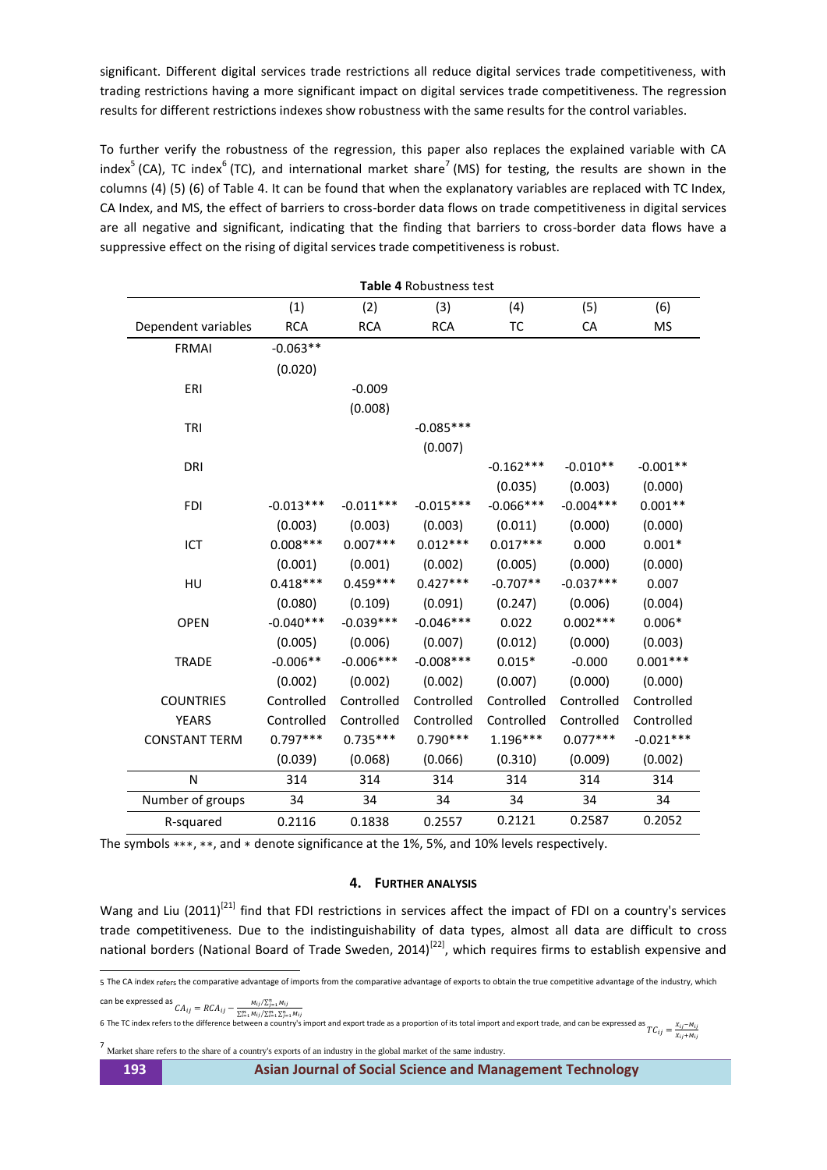significant. Different digital services trade restrictions all reduce digital services trade competitiveness, with trading restrictions having a more significant impact on digital services trade competitiveness. The regression results for different restrictions indexes show robustness with the same results for the control variables.

To further verify the robustness of the regression, this paper also replaces the explained variable with CA index<sup>5</sup> (CA), TC index<sup>6</sup> (TC), and international market share<sup>7</sup> (MS) for testing, the results are shown in the columns (4) (5) (6) of Table 4. It can be found that when the explanatory variables are replaced with TC Index, CA Index, and MS, the effect of barriers to cross-border data flows on trade competitiveness in digital services are all negative and significant, indicating that the finding that barriers to cross-border data flows have a suppressive effect on the rising of digital services trade competitiveness is robust.

| <b>Table 4 Robustness test</b> |             |             |             |             |             |             |  |
|--------------------------------|-------------|-------------|-------------|-------------|-------------|-------------|--|
|                                | (1)         | (2)         | (3)         | (4)         | (5)         | (6)         |  |
| Dependent variables            | <b>RCA</b>  | <b>RCA</b>  | <b>RCA</b>  | ТC          | CA          | ΜS          |  |
| <b>FRMAI</b>                   | $-0.063**$  |             |             |             |             |             |  |
|                                | (0.020)     |             |             |             |             |             |  |
| ERI                            |             | $-0.009$    |             |             |             |             |  |
|                                |             | (0.008)     |             |             |             |             |  |
| TRI                            |             |             | $-0.085***$ |             |             |             |  |
|                                |             |             | (0.007)     |             |             |             |  |
| <b>DRI</b>                     |             |             |             | $-0.162***$ | $-0.010**$  | $-0.001**$  |  |
|                                |             |             |             | (0.035)     | (0.003)     | (0.000)     |  |
| <b>FDI</b>                     | $-0.013***$ | $-0.011***$ | $-0.015***$ | $-0.066***$ | $-0.004***$ | $0.001**$   |  |
|                                | (0.003)     | (0.003)     | (0.003)     | (0.011)     | (0.000)     | (0.000)     |  |
| ICT                            | $0.008***$  | $0.007***$  | $0.012***$  | $0.017***$  | 0.000       | $0.001*$    |  |
|                                | (0.001)     | (0.001)     | (0.002)     | (0.005)     | (0.000)     | (0.000)     |  |
| HU                             | $0.418***$  | $0.459***$  | $0.427***$  | $-0.707**$  | $-0.037***$ | 0.007       |  |
|                                | (0.080)     | (0.109)     | (0.091)     | (0.247)     | (0.006)     | (0.004)     |  |
| <b>OPEN</b>                    | $-0.040***$ | $-0.039***$ | $-0.046***$ | 0.022       | $0.002***$  | $0.006*$    |  |
|                                | (0.005)     | (0.006)     | (0.007)     | (0.012)     | (0.000)     | (0.003)     |  |
| <b>TRADE</b>                   | $-0.006**$  | $-0.006***$ | $-0.008***$ | $0.015*$    | $-0.000$    | $0.001***$  |  |
|                                | (0.002)     | (0.002)     | (0.002)     | (0.007)     | (0.000)     | (0.000)     |  |
| <b>COUNTRIES</b>               | Controlled  | Controlled  | Controlled  | Controlled  | Controlled  | Controlled  |  |
| <b>YEARS</b>                   | Controlled  | Controlled  | Controlled  | Controlled  | Controlled  | Controlled  |  |
| <b>CONSTANT TERM</b>           | $0.797***$  | $0.735***$  | $0.790***$  | 1.196***    | $0.077***$  | $-0.021***$ |  |
|                                | (0.039)     | (0.068)     | (0.066)     | (0.310)     | (0.009)     | (0.002)     |  |
| N                              | 314         | 314         | 314         | 314         | 314         | 314         |  |
| Number of groups               | 34          | 34          | 34          | 34          | 34          | 34          |  |
| R-squared                      | 0.2116      | 0.1838      | 0.2557      | 0.2121      | 0.2587      | 0.2052      |  |
|                                |             |             |             |             |             |             |  |

The symbols ∗∗∗, ∗∗, and ∗ denote significance at the 1%, 5%, and 10% levels respectively.

# **4. FURTHER ANALYSIS**

Wang and Liu (2011)<sup>[\[21\]](#page-9-11)</sup> find that FDI restrictions in services affect the impact of FDI on a country's services trade competitiveness. Due to the indistinguishability of data types, almost all data are difficult to cross national borders (National Board of Trade Sweden, 2014)<sup>[\[22\]](#page-9-12)</sup>, which requires firms to establish expensive and

can be expressed as  $CA_{ij} = RCA_{ij} - \frac{M_{ij}/\sum_{j=1}^{n} M_{ij}}{\sum_{j=1}^{m} M_{ij}/\sum_{j=1}^{n} M_{ij}}$  $\sum_{i=1}^m M_{ij}/\sum_{i=1}^m \sum_{j=1}^n M_j$ 

6 The TC index refers to the difference between a country's import and export trade as a proportion of its total import and export trade, and can be expressed as  $TC_{ij} = \frac{x}{x}$ 

7 Market share refers to the share of a country's exports of an industry in the global market of the same industry.

 5 The CA index refers the comparative advantage of imports from the comparative advantage of exports to obtain the true competitive advantage of the industry, which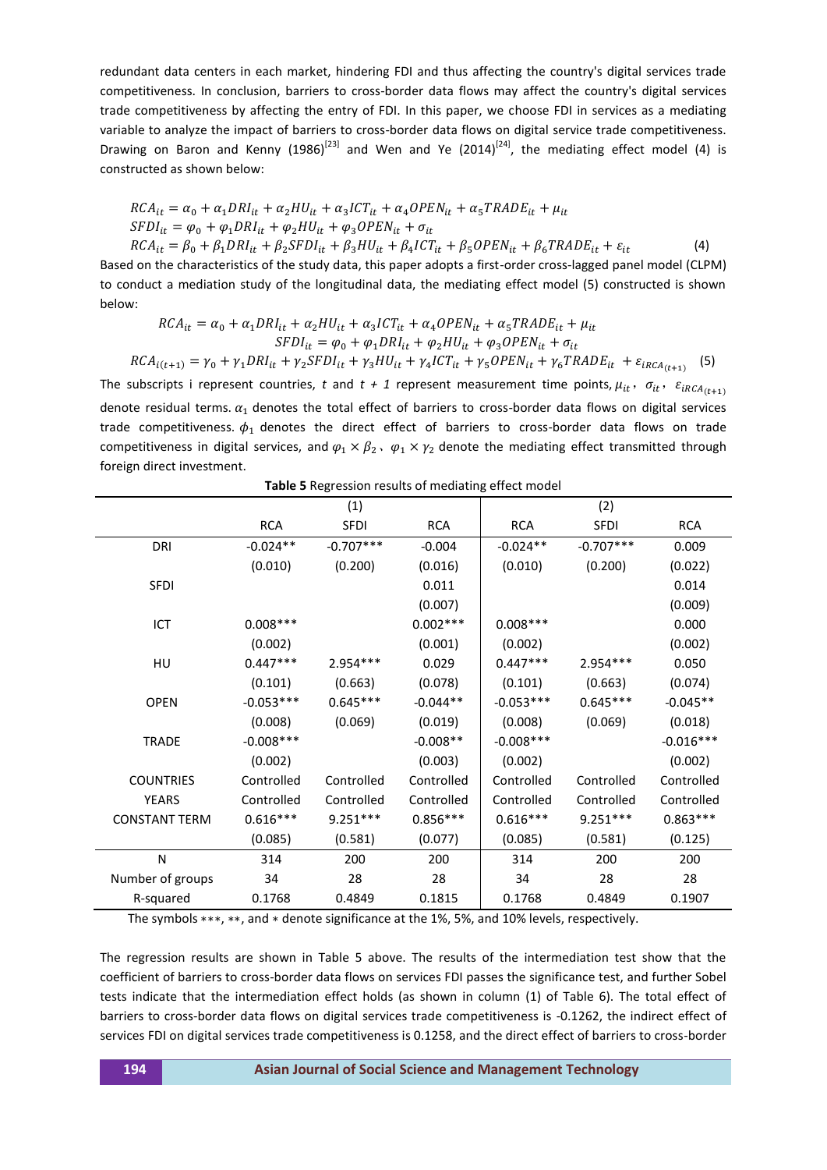redundant data centers in each market, hindering FDI and thus affecting the country's digital services trade competitiveness. In conclusion, barriers to cross-border data flows may affect the country's digital services trade competitiveness by affecting the entry of FDI. In this paper, we choose FDI in services as a mediating variable to analyze the impact of barriers to cross-border data flows on digital service trade competitiveness. Drawing on Baron and Kenny (1986)<sup>[\[23\]](#page-9-13)</sup> and Wen and Ye (2014)<sup>[\[24\]](#page-9-14)</sup>, the mediating effect model (4) is constructed as shown below:

$$
RCA_{it} = \alpha_0 + \alpha_1 DRI_{it} + \alpha_2 HU_{it} + \alpha_3 ICT_{it} + \alpha_4 OPEN_{it} + \alpha_5 TRADE_{it} + \mu_{it}
$$
  
\n
$$
SFDI_{it} = \varphi_0 + \varphi_1 DRI_{it} + \varphi_2 HU_{it} + \varphi_3 OPEN_{it} + \sigma_{it}
$$
  
\n
$$
RCA_{it} = \beta_0 + \beta_1 DRI_{it} + \beta_2 SFDI_{it} + \beta_3 HU_{it} + \beta_4 ICT_{it} + \beta_5 OPEN_{it} + \beta_6 TRADE_{it} + \varepsilon_{it}
$$
\n(4)

Based on the characteristics of the study data, this paper adopts a first-order cross-lagged panel model (CLPM) to conduct a mediation study of the longitudinal data, the mediating effect model (5) constructed is shown below:

$$
RCA_{it} = \alpha_0 + \alpha_1 DRI_{it} + \alpha_2 HU_{it} + \alpha_3 ICT_{it} + \alpha_4 OPEN_{it} + \alpha_5 TRADE_{it} + \mu_{it}
$$
  
\n
$$
SPDI_{it} = \varphi_0 + \varphi_1 DRI_{it} + \varphi_2 HU_{it} + \varphi_3 OPEN_{it} + \sigma_{it}
$$
  
\n
$$
RCA_{i(t+1)} = \gamma_0 + \gamma_1 DRI_{it} + \gamma_2 SFDI_{it} + \gamma_3 HU_{it} + \gamma_4 ICT_{it} + \gamma_5 OPEN_{it} + \gamma_6 TRADE_{it} + \varepsilon_{iRCA_{(t+1)}}
$$
 (5)

The subscripts i represent countries, *t* and  $t + 1$  represent measurement time points,  $\mu_{it}$ ,  $\sigma_{it}$ ,  $\varepsilon_{iRCA_{(t+1)}}$ denote residual terms.  $\alpha_1$  denotes the total effect of barriers to cross-border data flows on digital services trade competitiveness.  $\phi_1$  denotes the direct effect of barriers to cross-border data flows on trade competitiveness in digital services, and  $\varphi_1 \times \beta_2$ ,  $\varphi_1 \times \gamma_2$  denote the mediating effect transmitted through foreign direct investment.

|                      |             | (1)         |            |             | (2)         |             |  |
|----------------------|-------------|-------------|------------|-------------|-------------|-------------|--|
|                      | <b>RCA</b>  | <b>SFDI</b> | <b>RCA</b> | <b>RCA</b>  | <b>SFDI</b> | <b>RCA</b>  |  |
| DRI                  | $-0.024**$  | $-0.707***$ | $-0.004$   | $-0.024**$  | $-0.707***$ | 0.009       |  |
|                      | (0.010)     | (0.200)     | (0.016)    | (0.010)     | (0.200)     | (0.022)     |  |
| <b>SFDI</b>          |             |             | 0.011      |             |             | 0.014       |  |
|                      |             |             | (0.007)    |             |             | (0.009)     |  |
| ICT                  | $0.008***$  |             | $0.002***$ | $0.008***$  |             | 0.000       |  |
|                      | (0.002)     |             | (0.001)    | (0.002)     |             | (0.002)     |  |
| HU                   | $0.447***$  | $2.954***$  | 0.029      | $0.447***$  | 2.954 ***   | 0.050       |  |
|                      | (0.101)     | (0.663)     | (0.078)    | (0.101)     | (0.663)     | (0.074)     |  |
| <b>OPEN</b>          | $-0.053***$ | $0.645***$  | $-0.044**$ | $-0.053***$ | $0.645***$  | $-0.045**$  |  |
|                      | (0.008)     | (0.069)     | (0.019)    | (0.008)     | (0.069)     | (0.018)     |  |
| <b>TRADE</b>         | $-0.008***$ |             | $-0.008**$ | $-0.008***$ |             | $-0.016***$ |  |
|                      | (0.002)     |             | (0.003)    | (0.002)     |             | (0.002)     |  |
| <b>COUNTRIES</b>     | Controlled  | Controlled  | Controlled | Controlled  | Controlled  | Controlled  |  |
| <b>YEARS</b>         | Controlled  | Controlled  | Controlled | Controlled  | Controlled  | Controlled  |  |
| <b>CONSTANT TERM</b> | $0.616***$  | $9.251***$  | $0.856***$ | $0.616***$  | $9.251***$  | $0.863***$  |  |
|                      | (0.085)     | (0.581)     | (0.077)    | (0.085)     | (0.581)     | (0.125)     |  |
| N                    | 314         | 200         | 200        | 314         | 200         | 200         |  |
| Number of groups     | 34          | 28          | 28         | 34          | 28          | 28          |  |
| R-squared            | 0.1768      | 0.4849      | 0.1815     | 0.1768      | 0.4849      | 0.1907      |  |

**Table 5** Regression results of mediating effect model

The symbols ∗∗∗, ∗∗, and ∗ denote significance at the 1%, 5%, and 10% levels, respectively.

The regression results are shown in Table 5 above. The results of the intermediation test show that the coefficient of barriers to cross-border data flows on services FDI passes the significance test, and further Sobel tests indicate that the intermediation effect holds (as shown in column (1) of Table 6). The total effect of barriers to cross-border data flows on digital services trade competitiveness is -0.1262, the indirect effect of services FDI on digital services trade competitiveness is 0.1258, and the direct effect of barriers to cross-border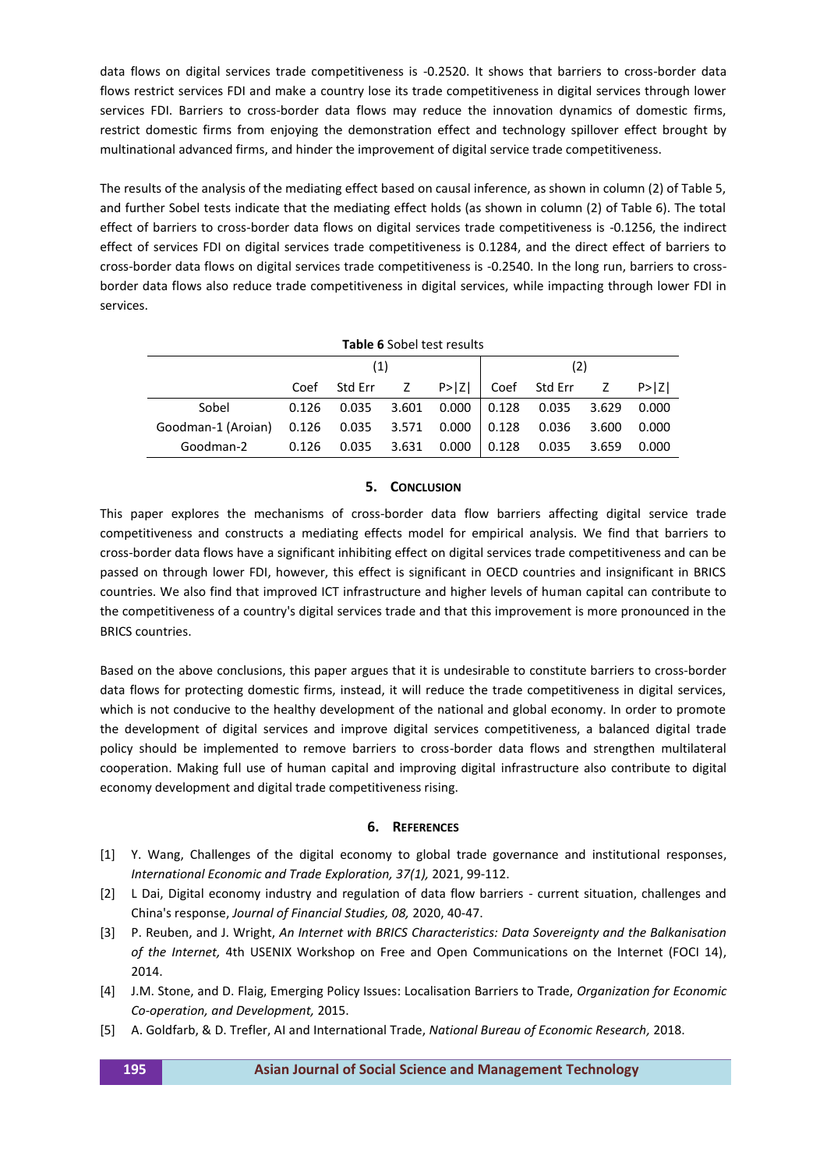data flows on digital services trade competitiveness is -0.2520. It shows that barriers to cross-border data flows restrict services FDI and make a country lose its trade competitiveness in digital services through lower services FDI. Barriers to cross-border data flows may reduce the innovation dynamics of domestic firms, restrict domestic firms from enjoying the demonstration effect and technology spillover effect brought by multinational advanced firms, and hinder the improvement of digital service trade competitiveness.

The results of the analysis of the mediating effect based on causal inference, as shown in column (2) of Table 5, and further Sobel tests indicate that the mediating effect holds (as shown in column (2) of Table 6). The total effect of barriers to cross-border data flows on digital services trade competitiveness is -0.1256, the indirect effect of services FDI on digital services trade competitiveness is 0.1284, and the direct effect of barriers to cross-border data flows on digital services trade competitiveness is -0.2540. In the long run, barriers to crossborder data flows also reduce trade competitiveness in digital services, while impacting through lower FDI in services.

| <b>Table 6 Sobel test results</b> |       |            |             |             |       |           |       |            |
|-----------------------------------|-------|------------|-------------|-------------|-------|-----------|-------|------------|
|                                   | (1)   |            |             |             |       | (2)       |       |            |
|                                   | Coef  | Std Err  Z |             | P >  Z      | Coef  | Std Err Z |       | $P>$ $ Z $ |
| Sobel                             | 0.126 | 0.035      |             | 3.601 0.000 | 0.128 | 0.035     | 3.629 | 0.000      |
| Goodman-1 (Aroian)                | 0.126 | 0.035      | 3.571 0.000 |             | 0.128 | 0.036     | 3.600 | 0.000      |
| Goodman-2                         | 0.126 | 0.035      | 3.631       | 0.000       | 0.128 | 0.035     | 3.659 | 0.000      |

## **5. CONCLUSION**

This paper explores the mechanisms of cross-border data flow barriers affecting digital service trade competitiveness and constructs a mediating effects model for empirical analysis. We find that barriers to cross-border data flows have a significant inhibiting effect on digital services trade competitiveness and can be passed on through lower FDI, however, this effect is significant in OECD countries and insignificant in BRICS countries. We also find that improved ICT infrastructure and higher levels of human capital can contribute to the competitiveness of a country's digital services trade and that this improvement is more pronounced in the BRICS countries.

Based on the above conclusions, this paper argues that it is undesirable to constitute barriers to cross-border data flows for protecting domestic firms, instead, it will reduce the trade competitiveness in digital services, which is not conducive to the healthy development of the national and global economy. In order to promote the development of digital services and improve digital services competitiveness, a balanced digital trade policy should be implemented to remove barriers to cross-border data flows and strengthen multilateral cooperation. Making full use of human capital and improving digital infrastructure also contribute to digital economy development and digital trade competitiveness rising.

## **6. REFERENCES**

- <span id="page-8-0"></span>[1] Y. Wang, Challenges of the digital economy to global trade governance and institutional responses, *International Economic and Trade Exploration, 37(1),* 2021, 99-112.
- [2] L Dai, Digital economy industry and regulation of data flow barriers current situation, challenges and China's response, *Journal of Financial Studies, 08,* 2020, 40-47.
- <span id="page-8-1"></span>[3] P. Reuben, and J. Wright, *An Internet with BRICS Characteristics: Data Sovereignty and the Balkanisation of the Internet,* 4th USENIX Workshop on Free and Open Communications on the Internet (FOCI 14), 2014.
- <span id="page-8-2"></span>[4] J.M. Stone, and D. Flaig, Emerging Policy Issues: Localisation Barriers to Trade, *Organization for Economic Co-operation, and Development,* 2015.
- <span id="page-8-3"></span>[5] A. Goldfarb, & D. Trefler, AI and International Trade, *National Bureau of Economic Research,* 2018.